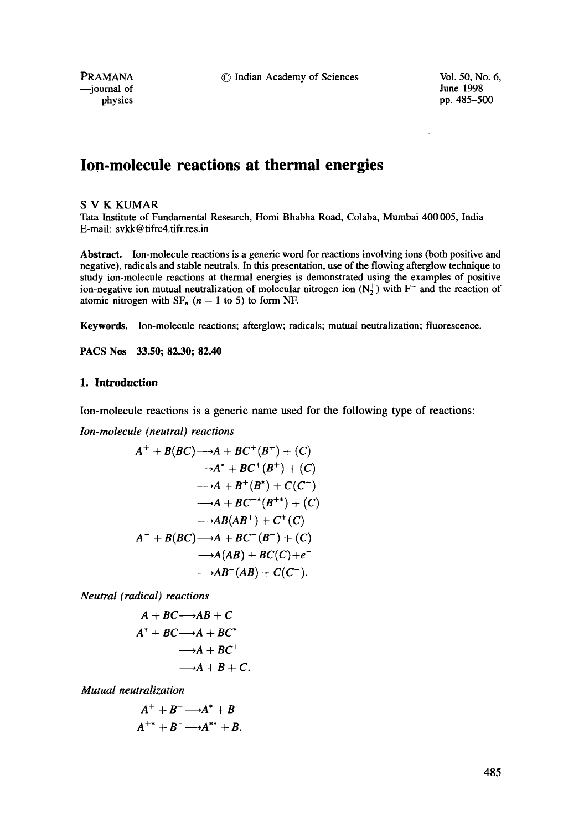PRAMANA **C** Indian Academy of Sciences Vol. 50, No. 6,<br>
inne 1998

--journal of<br>physics

pp. 485-500

# **Ion-molecule reactions at thermal energies**

#### S V K KUMAR

Tata Institute of Fundamental Research, Homi Bhabha Road, Colaba, Mumbai 400 005, India E-mail: svkk @ tifrc4.tifr.res.in

**Abstract.** Ion-molecule reactions is a generic word for reactions involving ions (both positive and negative), radicals and stable neutrals. In this presentation, use of the flowing afterglow technique to study ion-molecule reactions at thermal energies is demonstrated using the examples of positive ion-negative ion mutual neutralization of molecular nitrogen ion  $(N_2^+)$  with F<sup>-</sup> and the reaction of atomic nitrogen with  $SF_n$  ( $n = 1$  to 5) to form NF.

Keywords. Ion-molecule reactions; afterglow; radicals; mutual neutralization; fluorescence.

**PACS Nos 33.50; 82.30; 82.40** 

### **1. Introduction**

Ion-molecule reactions is a generic name used for the following type of reactions:

*Ion-molecule (neutral) reactions* 

$$
A^{+} + B(BC) \longrightarrow A + BC^{+}(B^{+}) + (C)
$$
  
\n
$$
\longrightarrow A^{*} + BC^{+}(B^{+}) + (C)
$$
  
\n
$$
\longrightarrow A + B^{+}(B^{*}) + C(C^{+})
$$
  
\n
$$
\longrightarrow A + BC^{+*}(B^{+*}) + (C)
$$
  
\n
$$
\longrightarrow AB(AB^{+}) + C^{+}(C)
$$
  
\n
$$
A^{-} + B(BC) \longrightarrow A + BC^{-}(B^{-}) + (C)
$$
  
\n
$$
\longrightarrow A(AB) + BC(C) + e^{-}
$$
  
\n
$$
\longrightarrow AB^{-}(AB) + C(C^{-}).
$$

*Neutral (radical) reactions* 

$$
A + BC \longrightarrow AB + C
$$
  

$$
A^* + BC \longrightarrow A + BC^*
$$
  

$$
\longrightarrow A + BC^+
$$
  

$$
\longrightarrow A + B + C
$$

*Mutual neutralization* 

$$
A^+ + B^- \longrightarrow A^* + B
$$
  

$$
A^{+*} + B^- \longrightarrow A^{**} + B.
$$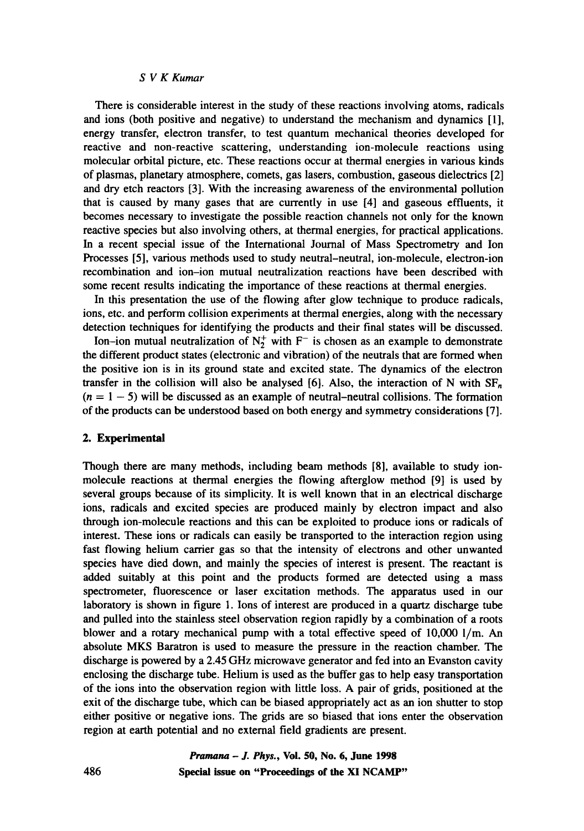There is considerable interest in the study of these reactions involving atoms, radicals and ions (both positive and negative) to understand the mechanism and dynamics [1], energy transfer, electron transfer, to test quantum mechanical theories developed for reactive and non-reactive scattering, understanding ion-molecule reactions using molecular orbital picture, etc. These reactions occur at thermal energies in various kinds of plasmas, planetary atmosphere, comets, gas lasers, combustion, gaseous dielectrics [2] and dry etch reactors [3]. With the increasing awareness of the environmental pollution that is caused by many gases that are currently in use [4] and gaseous effluents, it becomes necessary to investigate the possible reaction channels not only for the known reactive species but also involving others, at thermal energies, for practical applications. In a recent special issue of the International Journal of Mass Spectrometry and ion Processes [5], various methods used to study neutral-neutral, ion-molecule, electron-ion recombination and ion-ion mutual neutralization reactions have been described with some recent results indicating the importance of these reactions at thermal energies.

In this presentation the use of the flowing after glow technique to produce radicals, ions, etc. and perform collision experiments at thermal energies, along with the necessary detection techniques for identifying the products and their final states will be discussed.

Ion-ion mutual neutralization of  $N_2^+$  with F<sup>-</sup> is chosen as an example to demonstrate the different product states (electronic and vibration) of the neutrals that are formed when the positive ion is in its ground state and excited state. The dynamics of the electron transfer in the collision will also be analysed [6]. Also, the interaction of N with  $SF_n$  $(n = 1 - 5)$  will be discussed as an example of neutral-neutral collisions. The formation of the products can be understood based on both energy and symmetry considerations [7].

#### 2. Experimental

Though there are many methods, including beam methods [8], available to study ionmolecule reactions at thermal energies the flowing afterglow method [9] is used by several groups because of its simplicity. It is well known that in an electrical discharge ions, radicals and excited species are produced mainly by electron impact and also through ion-molecule reactions and this can be exploited to produce ions or radicals of interest. These ions or radicals can easily be transported to the interaction region using fast flowing helium carrier gas so that the intensity of electrons and other unwanted species have died down, and mainly the species of interest is present. The reactant is added suitably at this point and the products formed are detected using a mass spectrometer, fluorescence or laser excitation methods. The apparatus used in our laboratory is shown in figure 1. Ions of interest are produced in a quartz discharge tube and pulled into the stainless steel observation region rapidly by a combination of a roots blower and a rotary mechanical pump with a total effective speed of  $10,000$  l/m. An absolute MKS Baratron is used to measure the pressure in the reaction chamber. The discharge is powered by a 2.45 GHz microwave generator and fed into an Evanston cavity enclosing the discharge tube. Helium is used as the buffer gas to help easy transportation of the ions into the observation region with little loss. A pair of grids, positioned at the exit of the discharge tube, which can be biased appropriately act as an ion shutter to stop either positive or negative ions. The grids are so biased that ions enter the observation region at earth potential and no external field gradients are present.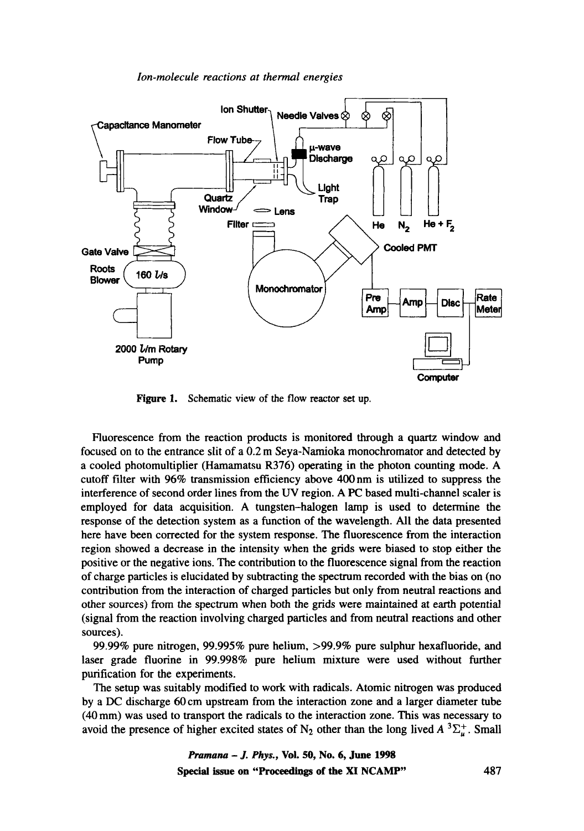

Figure 1. Schematic view of the flow reactor set up.

Fluorescence from the reaction products is monitored through a quartz window and focused on to the entrance slit of a 0.2 m Seya-Namioka monochromator and detected by a cooled photomultiplier (Hamamatsu R376) operating in the photon counting mode. A cutoff filter with 96% transmission efficiency above 400 nm is utilized to suppress the interference of second order lines from the UV region. A PC based multi-channel scaler is employed for data acquisition. A tungsten-halogen lamp is used to determine the response of the detection system as a function of the wavelength. All the data presented here have been corrected for the system response. The fluorescence from the interaction region showed a decrease in the intensity when the grids were biased to stop either the positive or the negative ions. The contribution to the fluorescence signal from the reaction of charge particles is elucidated by subtracting the spectrum recorded with the bias on (no contribution from the interaction of charged particles but only from neutral reactions and other sources) from the spectrum when both the grids were maintained at earth potential (signal from the reaction involving charged particles and from neutral reactions and other sources).

99.99% pure nitrogen, 99.995% pure helium, >99.9% pure sulphur hexafluoride, and laser grade fluorine in 99.998% pure helium mixture were used without further purification for the experiments.

The setup was suitably modified to work with radicals. Atomic nitrogen was produced by a DC discharge 60 cm upstream from the interaction zone and a larger diameter tube (40 mm) was used to transport the radicals to the interaction zone. This was necessary to avoid the presence of higher excited states of N<sub>2</sub> other than the long lived  $A^3\Sigma_u^+$ . Small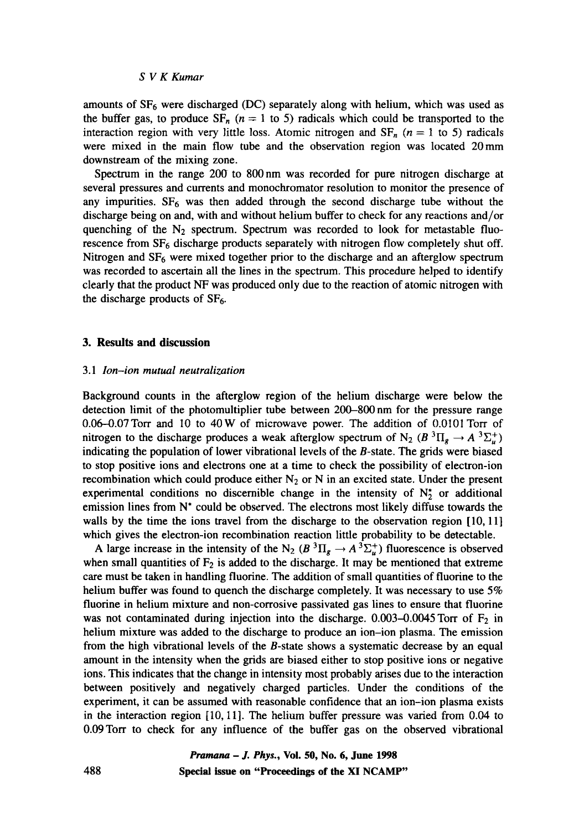amounts of  $SF_6$  were discharged (DC) separately along with helium, which was used as the buffer gas, to produce  $SF_n$  ( $n = 1$  to 5) radicals which could be transported to the interaction region with very little loss. Atomic nitrogen and  $SF_n$  ( $n = 1$  to 5) radicals were mixed in the main flow tube and the observation region was located 20mm downstream of the mixing zone.

Spectrum in the range 200 to 800 nm was recorded for pure nitrogen discharge at several pressures and currents and monochromator resolution to monitor the presence of any impurities.  $SF_6$  was then added through the second discharge tube without the discharge being on and, with and without helium buffer to check for any reactions and/or quenching of the  $N_2$  spectrum. Spectrum was recorded to look for metastable fluorescence from  $SF_6$  discharge products separately with nitrogen flow completely shut off. Nitrogen and  $SF<sub>6</sub>$  were mixed together prior to the discharge and an afterglow spectrum was recorded to ascertain all the lines in the spectrum. This procedure helped to identify clearly that the product NF was produced only due to the reaction of atomic nitrogen with the discharge products of  $SF<sub>6</sub>$ .

#### **3. Results and discussion**

#### *3.1 Ion-ion mutual neutralization*

Background counts in the afterglow region of the helium discharge were below the detection limit of the photomultiplier tube between 200-800 nm for the pressure range 0.06-0.07Torr and 10 to 40W of microwave power. The addition of 0.0101Torr of nitrogen to the discharge produces a weak afterglow spectrum of N<sub>2</sub> (B<sup>3</sup>II<sub>e</sub>  $\rightarrow$  A<sup>3</sup> $\Sigma_{n}^{+}$ ) indicating the population of lower vibrational levels of the B-state. The grids were biased to stop positive ions and electrons one at a time to check the possibility of electron-ion recombination which could produce either  $N_2$  or N in an excited state. Under the present experimental conditions no discernible change in the intensity of  $N_2^*$  or additional emission lines from N\* could be observed. The electrons most likely diffuse towards the walls by the time the ions travel from the discharge to the observation region [10, 11] which gives the electron-ion recombination reaction little probability to be detectable.

A large increase in the intensity of the N<sub>2</sub> ( $B^{3}\Pi_{g} \rightarrow A^{3}\Sigma_{u}^{+}$ ) fluorescence is observed when small quantities of  $F_2$  is added to the discharge. It may be mentioned that extreme care must be taken in handling fluorine. The addition of small quantities of fluorine to the helium buffer was found to quench the discharge completely. It was necessary to use 5% fluorine in helium mixture and non-corrosive passivated gas lines to ensure that fluorine was not contaminated during injection into the discharge.  $0.003-0.0045$  Torr of  $F_2$  in helium mixture was added to the discharge to produce an ion-ion plasma. The emission from the high vibrational levels of the  $B$ -state shows a systematic decrease by an equal amount in the intensity when the grids are biased either to stop positive ions or negative ions. This indicates that the change in intensity most probably arises due to the interaction between positively and negatively charged particles. Under the conditions of the experiment, it can be assumed with reasonable confidence that an ion-ion plasma exists in the interaction region [10, 11]. The helium buffer pressure was varied from 0.04 to 0.09 Torr to check for any influence of the buffer gas on the observed vibrational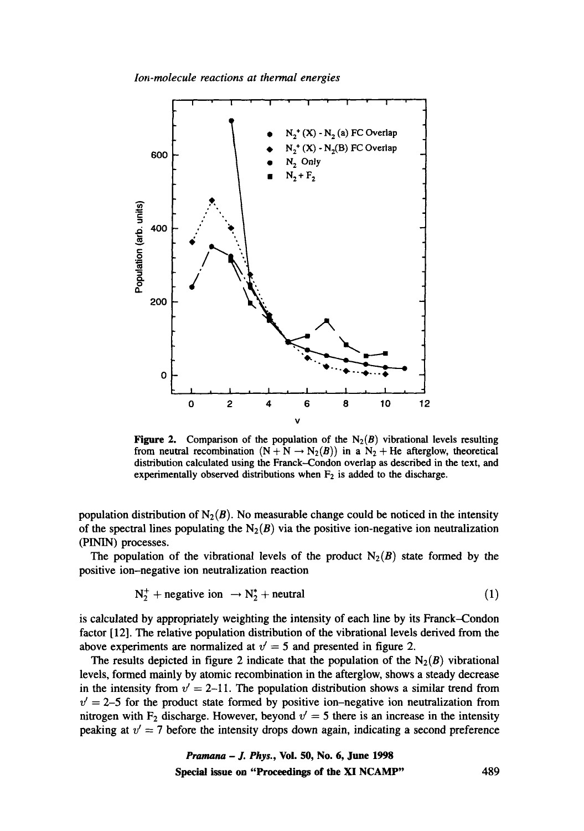

Figure 2. Comparison of the population of the  $N_2(B)$  vibrational levels resulting from neutral recombination  $(N + N \rightarrow N_2(B))$  in a  $N_2 + He$  afterglow, theoretical distribution calculated using the Franck-Condon overlap as described in the text, and experimentally observed distributions when  $F_2$  is added to the discharge.

population distribution of N<sub>2</sub>(B). No measurable change could be noticed in the intensity of the spectral lines populating the  $N_2(B)$  via the positive ion-negative ion neutralization (PININ) processes.

The population of the vibrational levels of the product  $N_2(B)$  state formed by the positive ion-negative ion neutralization reaction

$$
N_2^+ + negative \text{ ion } \rightarrow N_2^* + neutral
$$
 (1)

is calculated by appropriately weighting the intensity of each line by its Franck-Condon factor [12]. The relative population distribution of the vibrational levels derived from the above experiments are normalized at  $v' = 5$  and presented in figure 2.

The results depicted in figure 2 indicate that the population of the  $N_2(B)$  vibrational levels, formed mainly by atomic recombination in the afterglow, shows a steady decrease in the intensity from  $v' = 2-11$ . The population distribution shows a similar trend from  $v' = 2-5$  for the product state formed by positive ion-negative ion neutralization from nitrogen with  $F_2$  discharge. However, beyond  $v' = 5$  there is an increase in the intensity peaking at  $v' = 7$  before the intensity drops down again, indicating a second preference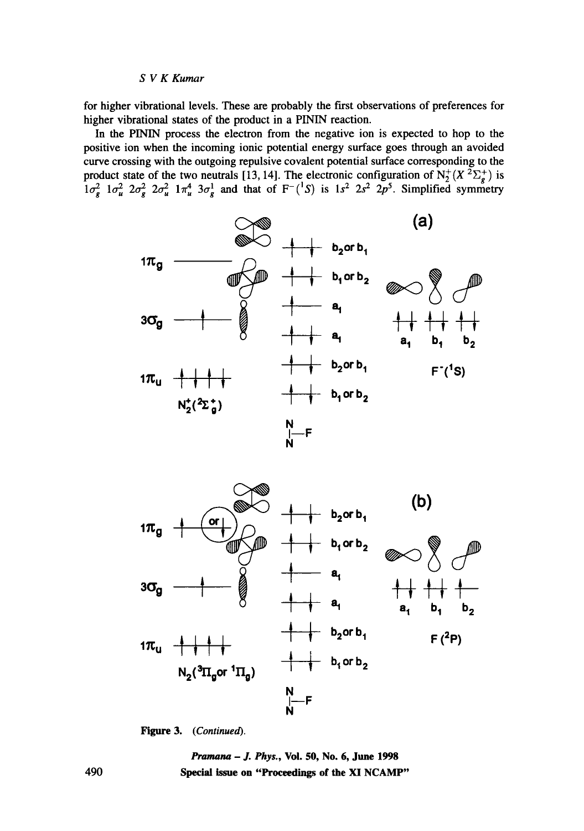for higher vibrational levels. These are probably the first observations of preferences for higher vibrational states of the product in a PININ reaction.

In the PININ process the electron from the negative ion is expected to hop to the positive ion when the incoming ionic potential energy surface goes through an avoided curve crossing with the outgoing repulsive covalent potential surface corresponding to the product state of the two neutrals [13, 14]. The electronic configuration of  $N_2^+(X^2\Sigma^+_e)$  is  $1\sigma_e^2$   $1\sigma_u^2$   $2\sigma_e^2$   $2\sigma_u^2$   $1\pi_u^4$   $3\sigma_g^1$  and that of F<sup>-</sup>( $\degree$ S) is  $1s^2$   $2s^2$   $2p^3$ . Simplified symmetry





*Figure 3. (Continued).* 

*Pramana - J. Phys.,* Voi. 50, No. 6, June 1998 Special issue on "Proceedings **of the** XI NCAMP"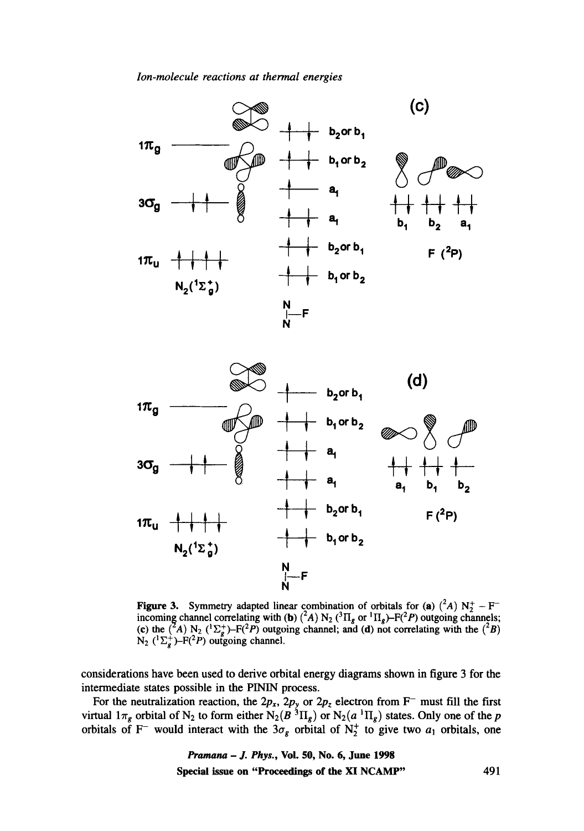

**Figure 3.** Symmetry adapted linear combination of orbitals for (a)  $({}^2A)$  N<sub>2</sub><sup>+</sup> – F<sup>-</sup> incoming channel correlating with (b)  $({}^2A)$  N<sub>2</sub> ( ${}^3\Pi_g$  or  ${}^1\Pi_g$ )–F( ${}^2P$ ) outgoing channels; (c) the (<sup>2</sup>A) N<sub>2</sub> (<sup>1</sup> $\Sigma_p^+$ )–F(<sup>2</sup>P) outgoing channel; and (d) not correlating with the (<sup>2</sup>B)  $N_2$  ( $\Sigma_{\sigma}^{+}$ )–F( ${}^{2}P$ ) outgoing channel.

considerations have been used to derive orbital energy diagrams shown in figure 3 for the intermediate states possible in the PININ process.

For the neutralization reaction, the  $2p_x$ ,  $2p_y$  or  $2p_z$  electron from F<sup>-</sup> must fill the first virtual  $1\pi_g$  orbital of N<sub>2</sub> to form either N<sub>2</sub>( $B^{3}\Pi_g$ ) or N<sub>2</sub>( $a^{1}\Pi_g$ ) states. Only one of the p orbitals of F<sup>-</sup> would interact with the  $3\sigma_g$  orbital of N<sup>+</sup> to give two  $a_1$  orbitals, one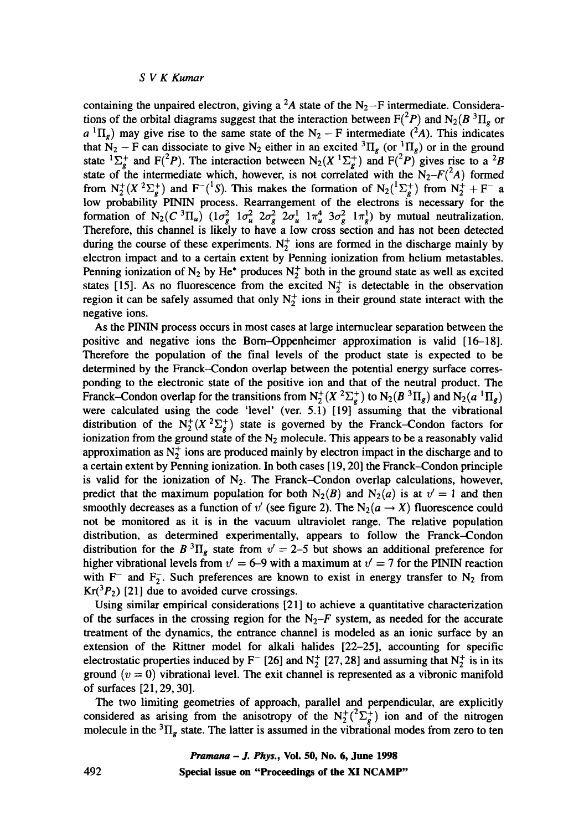containing the unpaired electron, giving a <sup>2</sup>A state of the  $N_2-F$  intermediate. Considerations of the orbital diagrams suggest that the interaction between  $F(^2P)$  and  $N_2(B^3\Pi_g)$  or  $a^{1}\Pi_{g}$ ) may give rise to the same state of the N<sub>2</sub> – F intermediate (<sup>2</sup>A). This indicates that  $N_2$  – F can dissociate to give  $N_2$  either in an excited  ${}^3\Pi_g$  (or  ${}^1\Pi_g$ ) or in the ground state  ${}^{1}\Sigma_{g}^{+}$  and F(<sup>2</sup>P). The interaction between N<sub>2</sub>(X  ${}^{1}\Sigma_{g}^{+}$ ) and F(<sup>2</sup>P) gives rise to a <sup>2</sup>B state of the intermediate which, however, is not correlated with the  $N_2-F(^2A)$  formed from  $N_2^+(X^2\Sigma_g^+)$  and  $F^{-1}(S)$ . This makes the formation of  $N_2(^1\Sigma_g^+)$  from  $N_2^+ + F^-$  a low probability PININ process. Rearrangement of the electrons is necessary for the formation of  $N_2(C^3\Pi_u)$   $(1\sigma_g^2 1\sigma_u^2 2\sigma_g^2 2\sigma_u^1 1\pi_u^4 3\sigma_g^2 1\pi_g^1)$  by mutual neutralization. Therefore, this channel is likely to have a low cross section and has not been detected during the course of these experiments.  $N_2^+$  ions are formed in the discharge mainly by electron impact and to a certain extent by Penning ionization from helium metastables. Penning ionization of N<sub>2</sub> by He<sup>\*</sup> produces N<sub>2</sub><sup>+</sup> both in the ground state as well as excited states [15]. As no fluorescence from the excited  $N_2^+$  is detectable in the observation region it can be safely assumed that only  $N_2^+$  ions in their ground state interact with the negative ions.

As the PININ process occurs in most cases at large internuclear separation between the positive and negative ions the Born-Oppenheimer approximation is valid [16-18]. Therefore the population of the final levels of the product state is expected to be determined by the Franck--Condon overlap between the potential energy surface corresponding to the electronic state of the positive ion and that of the neutral product. The Franck–Condon overlap for the transitions from  $N_2^+(X^2\Sigma_g^+)$  to  $N_2(B^3\Pi_g)$  and  $N_2(a^3\Pi_g)$ were calculated using the code 'level' (ver. 5.1)  $[19]$  assuming that the vibrational distribution of the  $N_2^+(X^2\Sigma_g^+)$  state is governed by the Franck-Condon factors for ionization from the ground state of the  $N_2$  molecule. This appears to be a reasonably valid approximation as  $N_2^+$  ions are produced mainly by electron impact in the discharge and to a certain extent by Penning ionization. In both cases [ 19, 20] the Franck-Condon principle is valid for the ionization of  $N_2$ . The Franck-Condon overlap calculations, however, predict that the maximum population for both  $N_2(B)$  and  $N_2(a)$  is at  $v' = 1$  and then smoothly decreases as a function of v' (see figure 2). The  $N_2(a \rightarrow X)$  fluorescence could not be monitored as it is in the vacuum ultraviolet range. The relative population distribution, as determined experimentally, appears to follow the Franck--Condon distribution for the B<sup>3</sup> $\Pi_g$  state from  $v' = 2$ -5 but shows an additional preference for higher vibrational levels from  $v' = 6-9$  with a maximum at  $v' = 7$  for the PININ reaction with  $F^-$  and  $F^-_2$ . Such preferences are known to exist in energy transfer to  $N_2$  from  $Kr(^{3}P_{2})$  [21] due to avoided curve crossings.

Using similar empirical considerations [21] to achieve a quantitative characterization of the surfaces in the crossing region for the  $N_2-F$  system, as needed for the accurate treatment of the dynamics, the entrance channel is modeled as an ionic surface by an extension of the Rittner model for alkali halides [22-25], accounting for specific electrostatic properties induced by F<sup>-</sup> [26] and N<sub>2</sub><sup>+</sup> [27, 28] and assuming that N<sub>2</sub><sup>+</sup> is in its ground  $(v = 0)$  vibrational level. The exit channel is represented as a vibronic manifold of surfaces [21,29, 30].

The two limiting geometries of approach, parallel and perpendicular, are explicitly considered as arising from the anisotropy of the  $N_2^{\dagger}({}^2\Sigma_g^{\dagger})$  ion and of the nitrogen molecule in the  ${}^{3}$ II<sub>s</sub> state. The latter is assumed in the vibrational modes from zero to ten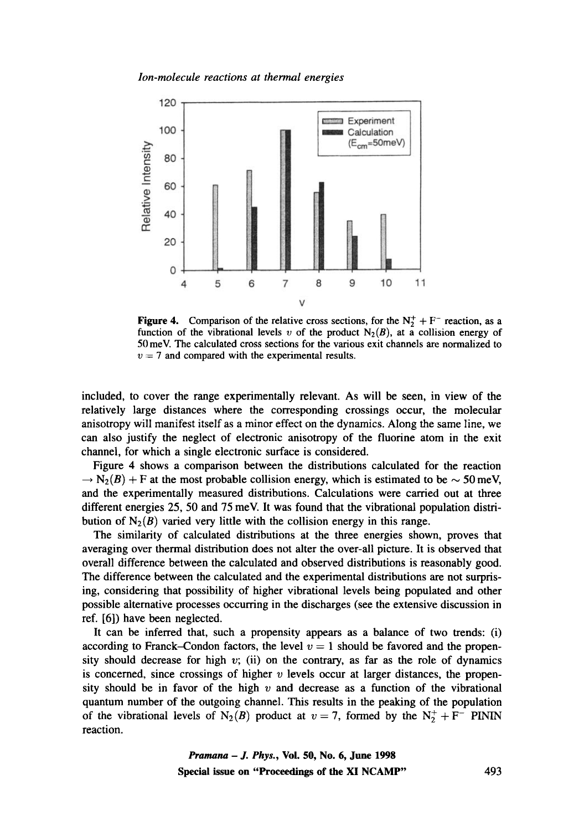

**Figure 4.** Comparison of the relative cross sections, for the  $N_2^+ + F^-$  reaction, as a function of the vibrational levels v of the product  $N_2(B)$ , at a collision energy of 50 meV. The calculated cross sections for the various exit channels are normalized to  $v = 7$  and compared with the experimental results.

included, to cover the range experimentally relevant. As will be seen, in view of the relatively large distances where the corresponding crossings occur, the molecular anisotropy will manifest itself as a minor effect on the dynamics. Along the same line, we can also justify the neglect of electronic anisotropy of the fluorine atom in the exit channel, for which a single electronic surface is considered.

Figure 4 shows a comparison between the distributions calculated for the reaction  $\rightarrow$  N<sub>2</sub>(B) + F at the most probable collision energy, which is estimated to be  $\sim$  50 meV, and the experimentally measured distributions. Calculations were carried out at three different energies 25, 50 and 75 meV. It was found that the vibrational population distribution of  $N_2(B)$  varied very little with the collision energy in this range.

The similarity of calculated distributions at the three energies shown, proves that averaging over thermal distribution does not alter the over-all picture. It is observed that overall difference between the calculated and observed distributions is reasonably good. The difference between the calculated and the experimental distributions are not surprising, considering that possibility of higher vibrational levels being populated and other possible alternative processes occurring in the discharges (see the extensive discussion in ref. [6]) have been neglected.

It can be inferred that, such a propensity appears as a balance of two trends: (i) according to Franck-Condon factors, the level  $v = 1$  should be favored and the propensity should decrease for high  $v$ ; (ii) on the contrary, as far as the role of dynamics is concerned, since crossings of higher  $\nu$  levels occur at larger distances, the propensity should be in favor of the high  $v$  and decrease as a function of the vibrational quantum number of the outgoing channel. This results in the peaking of the population of the vibrational levels of N<sub>2</sub>(B) product at  $v = 7$ , formed by the N<sub>2</sub><sup>+</sup> + F<sup>-</sup> PININ reaction.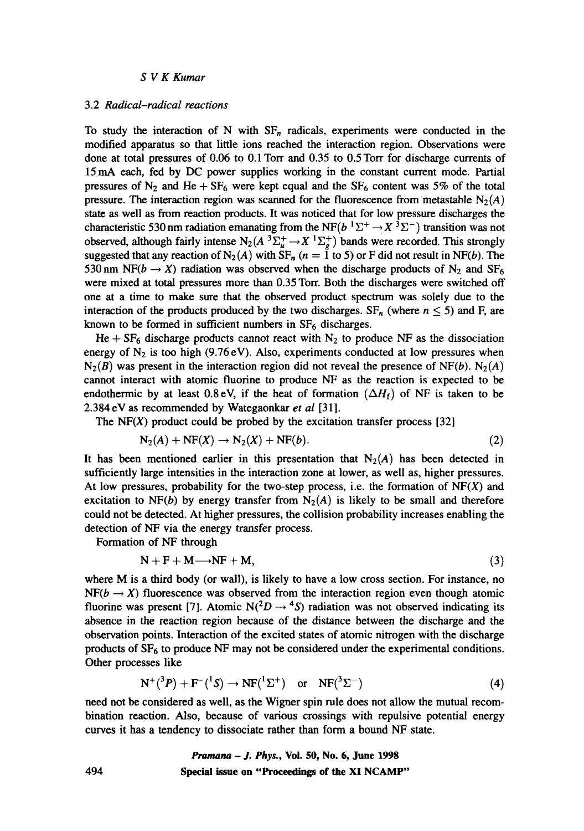#### 3.2 *Radical-radical reactions*

To study the interaction of N with  $SF_n$  radicals, experiments were conducted in the modified apparatus so that little ions reached the interaction region. Observations were done at total pressures of 0.06 to 0.1Torr and 0.35 to 0.5Torr for discharge currents of 15mA each, fed by DC power supplies working in the constant current mode. Partial pressures of  $N_2$  and He + SF<sub>6</sub> were kept equal and the SF<sub>6</sub> content was 5% of the total pressure. The interaction region was scanned for the fluorescence from metastable  $N_2(A)$ state as well as from reaction products. It was noticed that for low pressure discharges the characteristic 530 nm radiation emanating from the NF( $b<sup>1</sup>\Sigma^{+} \rightarrow X<sup>3</sup>\Sigma^{-}$ ) transition was not observed, although fairly intense  $N_2(A^3\Sigma_u^+ \to X^1\Sigma_g^+)$  bands were recorded. This strongly suggested that any reaction of N<sub>2</sub>(A) with  $SF_n$  (n = 1 to 5) or F did not result in NF(b). The 530 nm NF(b  $\rightarrow$  X) radiation was observed when the discharge products of N<sub>2</sub> and SF<sub>6</sub> were mixed at total pressures more than 0.35 Torr. Both the discharges were switched off one at a time to make sure that the observed product spectrum was solely due to the interaction of the products produced by the two discharges.  $SF_n$  (where  $n \leq 5$ ) and F, are known to be formed in sufficient numbers in  $SF<sub>6</sub>$  discharges.

He +  $SF_6$  discharge products cannot react with N<sub>2</sub> to produce NF as the dissociation energy of  $N_2$  is too high (9.76 eV). Also, experiments conducted at low pressures when  $N_2(B)$  was present in the interaction region did not reveal the presence of NF(b). N<sub>2</sub>(A) cannot interact with atomic fluorine to produce NF as the reaction is expected to be endothermic by at least 0.8 eV, if the heat of formation  $(\Delta H_f)$  of NF is taken to be 2.384 eV as recommended by Wategaonkar *et al* [31].

The NF(X) product could be probed by the excitation transfer process  $[32]$ 

$$
N_2(A) + NF(X) \to N_2(X) + NF(b). \tag{2}
$$

It has been mentioned earlier in this presentation that  $N_2(A)$  has been detected in sufficiently large intensities in the interaction zone at lower, as well as, higher pressures. At low pressures, probability for the two-step process, i.e. the formation of  $NF(X)$  and excitation to NF(b) by energy transfer from  $N_2(A)$  is likely to be small and therefore could not be detected. At higher pressures, the collision probability increases enabling the detection of NF via the energy transfer process.

Formation of NF through

$$
N + F + M \longrightarrow NF + M, \tag{3}
$$

where M is a third body (or wall), is likely to have a low cross section. For instance, no  $NF(b \rightarrow X)$  fluorescence was observed from the interaction region even though atomic fluorine was present [7]. Atomic  $N(^2D \rightarrow ^4S)$  radiation was not observed indicating its absence in the reaction region because of the distance between the discharge and the observation points. Interaction of the excited states of atomic nitrogen with the discharge products of  $SF<sub>6</sub>$  to produce NF may not be considered under the experimental conditions. Other processes like

$$
N^{+}({}^{3}P) + F^{-}({}^{1}S) \rightarrow NF({}^{1}\Sigma^{+}) \quad \text{or} \quad NF({}^{3}\Sigma^{-})
$$
 (4)

need not be considered as well, as the Wigner spin rule does not allow the mutual recombination reaction. Also, because of various crossings with repulsive potential energy curves it has a tendency to dissociate rather than form a bound NF state.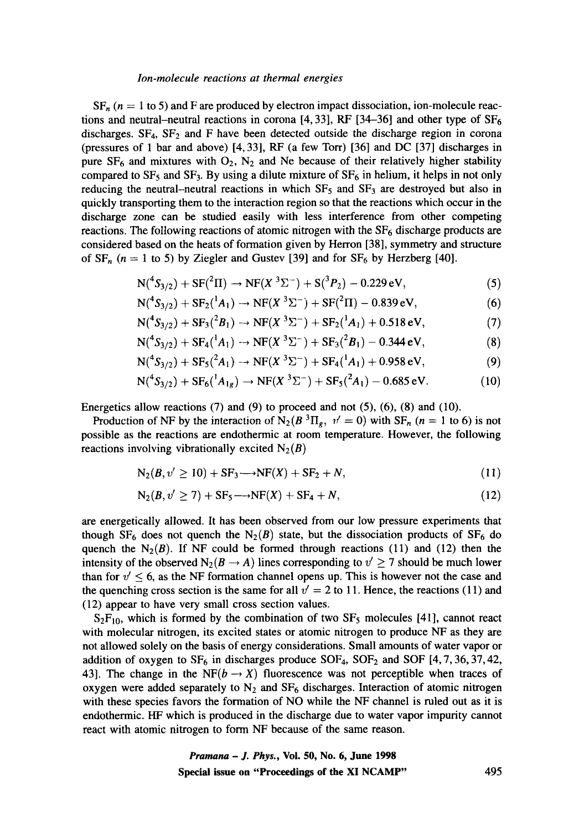$SF_n$  ( $n = 1$  to 5) and F are produced by electron impact dissociation, ion-molecule reactions and neutral-neutral reactions in corona [4, 33], RF [34-36] and other type of  $SF_6$ discharges.  $SF_4$ ,  $SF_2$  and F have been detected outside the discharge region in corona (pressures of 1 bar and above) [4, 33], RF (a few Torr) [36] and DC [37] discharges in pure  $SF_6$  and mixtures with  $O_2$ ,  $N_2$  and Ne because of their relatively higher stability compared to  $SF_5$  and  $SF_3$ . By using a dilute mixture of  $SF_6$  in helium, it helps in not only reducing the neutral-neutral reactions in which  $SF<sub>5</sub>$  and  $SF<sub>3</sub>$  are destroyed but also in quickly transporting them to the interaction region so that the reactions which occur in the discharge zone can be studied easily with less interference from other competing reactions. The following reactions of atomic nitrogen with the  $SF<sub>6</sub>$  discharge products are considered based on the heats of formation given by Herron [38], symmetry and structure of  $SF_n$  ( $n = 1$  to 5) by Ziegler and Gustev [39] and for  $SF_6$  by Herzberg [40].

$$
N({}^{4}S_{3/2}) + SF({}^{2}\Pi) \rightarrow NF(X^{3}\Sigma^{-}) + S({}^{3}P_{2}) - 0.229 \text{ eV}, \qquad (5)
$$

$$
N({}^{4}S_{3/2}) + SF_2({}^{1}A_1) \rightarrow NF(X^{3}\Sigma^{-}) + SF({}^{2}\Pi) - 0.839 \text{ eV}, \qquad (6)
$$

$$
N({}^{4}S_{3/2}) + SF_3({}^{2}B_1) \rightarrow NF(X^{3}\Sigma^{-}) + SF_2({}^{1}A_1) + 0.518 \text{ eV}, \qquad (7)
$$

$$
N({}^4S_{3/2}) + SF_4({}^1A_1) \rightarrow NF(X^3\Sigma^-) + SF_3({}^2B_1) - 0.344 \text{ eV}, \qquad (8)
$$

$$
N({}^{4}S_{3/2}) + SF_5({}^{2}A_1) \rightarrow NF(X^3\Sigma^-) + SF_4({}^{1}A_1) + 0.958 \text{ eV}, \qquad (9)
$$

$$
N({}^{4}S_{3/2}) + SF_6({}^{1}A_{1g}) \rightarrow NF(X^{3}\Sigma^{-}) + SF_5({}^{2}A_{1}) - 0.685 \text{ eV}.
$$
 (10)

Energetics allow reactions  $(7)$  and  $(9)$  to proceed and not  $(5)$ ,  $(6)$ ,  $(8)$  and  $(10)$ .

Production of NF by the interaction of N<sub>2</sub>( $B^{3}\Pi_{g}$ ,  $v' = 0$ ) with SF<sub>n</sub> (n = 1 to 6) is not possible as the reactions are endothermic at room temperature. However, the following reactions involving vibrationally excited  $N_2(B)$ 

$$
N_2(B, v' \ge 10) + SF_3 \longrightarrow NF(X) + SF_2 + N,
$$
\n(11)

$$
N_2(B, v' \ge 7) + SF_5 \longrightarrow NF(X) + SF_4 + N, \tag{12}
$$

are energetically allowed. It has been observed from our low pressure experiments that though SF<sub>6</sub> does not quench the N<sub>2</sub>(B) state, but the dissociation products of SF<sub>6</sub> do quench the  $N_2(B)$ . If NF could be formed through reactions (11) and (12) then the intensity of the observed  $N_2(B \to A)$  lines corresponding to  $v' \ge 7$  should be much lower than for  $v' \leq 6$ , as the NF formation channel opens up. This is however not the case and the quenching cross section is the same for all  $v' = 2$  to 11. Hence, the reactions (11) and (12) appear to have very small cross section values.

 $S_2F_{10}$ , which is formed by the combination of two  $SF_5$  molecules [41], cannot react with molecular nitrogen, its excited states or atomic nitrogen to produce NF as they are not allowed solely on the basis of energy considerations. Small amounts of water vapor or addition of oxygen to  $SF_6$  in discharges produce SOF<sub>4</sub>, SOF<sub>2</sub> and SOF [4, 7, 36, 37, 42, 43]. The change in the NF( $b \rightarrow X$ ) fluorescence was not perceptible when traces of oxygen were added separately to  $N_2$  and  $SF_6$  discharges. Interaction of atomic nitrogen with these species favors the formation of NO while the NF channel is ruled out as it is endothermic. HF which is produced in the discharge due to water vapor impurity cannot react with atomic nitrogen to form NF because of the same reason.

*Pramana - J. Phys.,* **Vol. 50, No. 6, June 1998 Special issue on "Proceedings of the XI NCAMP"** 495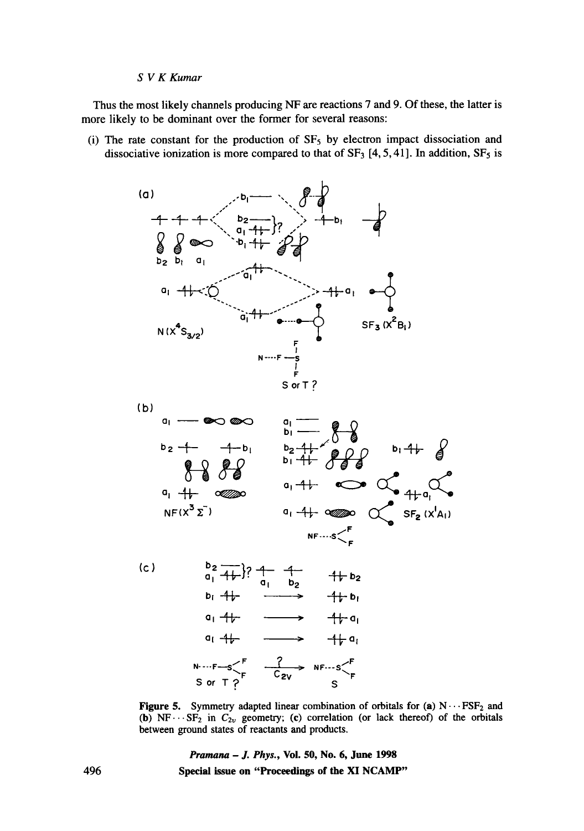Thus the most likely channels producing NF are reactions 7 and 9. Of these, the latter is more likely to be dominant over the former for several reasons:

(i) The rate constant for the production of  $SF<sub>5</sub>$  by electron impact dissociation and dissociative ionization is more compared to that of  $SF_3$  [4, 5, 41]. In addition,  $SF_5$  is





 $(c)$  $a_1^2 + b_1^2$ ;  $a_1^2 + b_2^2$ <br> $a_1^2 + b_2^2$ **b~ 1t, " -14-" b, ol 11, " 11, ol**   $q_1$   $4\rightarrow$   $\rightarrow$   $4\rightarrow$   $q_1$  $N \cdot \cdot \cdot F - S \begin{matrix} F & \frac{?}{C_{2V}} & NF \cdot \cdot \cdot S \end{matrix} F$ <br>Sor T?

Figure 5. Symmetry adapted linear combination of orbitals for (a)  $N \cdots FSF_2$  and (b)  $NF \cdots SF_2$  in  $C_{2v}$  geometry; (c) correlation (or lack thereof) of the orbitals between ground states of reactants and products.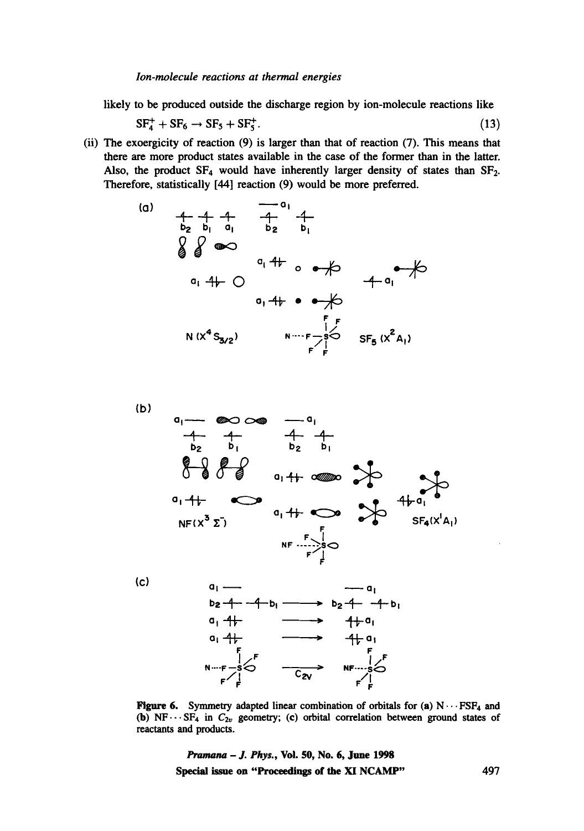likely to be produced outside the discharge region by ion-molecule reactions like

$$
SF_4^+ + SF_6 \rightarrow SF_5 + SF_5^+.
$$
 (13)

(ii) The exoergicity of reaction (9) is larger than that of reaction (7). This means that there are more product states available in the case of the former than in the latter. Also, the product  $SF_4$  would have inherently larger density of states than  $SF_2$ . Therefore, statistically [44] reaction (9) would be more preferred.





(c)



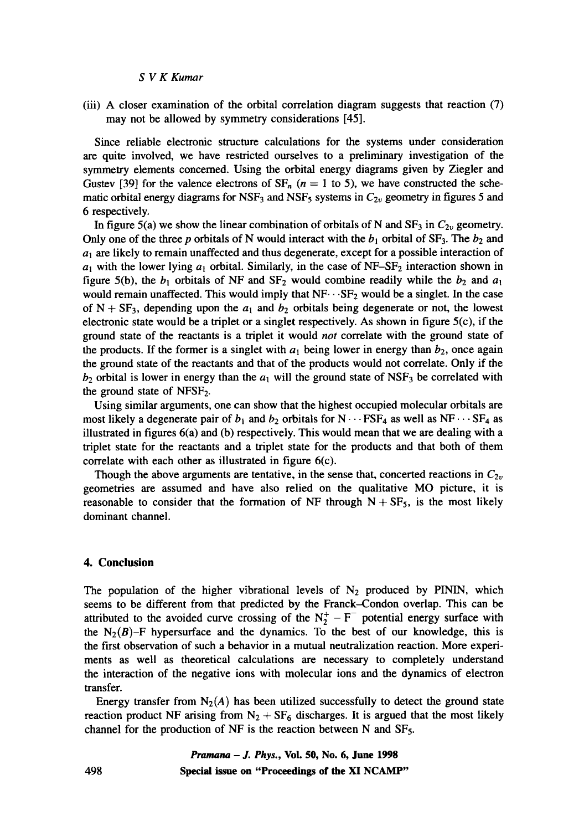(iii) A closer examination of the orbital correlation diagram suggests that reaction (7) may not be allowed by symmetry considerations [45].

Since reliable electronic structure calculations for the systems under consideration are quite involved, we have restricted ourselves to a preliminary investigation of the symmetry elements concerned. Using the orbital energy diagrams given by Ziegler and Gustev [39] for the valence electrons of  $SF_n$  ( $n = 1$  to 5), we have constructed the schematic orbital energy diagrams for NSF<sub>3</sub> and NSF<sub>5</sub> systems in  $C_{2v}$  geometry in figures 5 and 6 respectively.

In figure 5(a) we show the linear combination of orbitals of N and  $SF_3$  in  $C_{2v}$  geometry. Only one of the three p orbitals of N would interact with the  $b_1$  orbital of SF<sub>3</sub>. The  $b_2$  and  $a_1$  are likely to remain unaffected and thus degenerate, except for a possible interaction of  $a_1$  with the lower lying  $a_1$  orbital. Similarly, in the case of NF-SF<sub>2</sub> interaction shown in figure 5(b), the  $b_1$  orbitals of NF and SF<sub>2</sub> would combine readily while the  $b_2$  and  $a_1$ would remain unaffected. This would imply that  $NF \cdots SF_2$  would be a singlet. In the case of  $N + SF_3$ , depending upon the  $a_1$  and  $b_2$  orbitals being degenerate or not, the lowest electronic state would be a triplet or a singlet respectively. As shown in figure  $5(c)$ , if the ground state of the reactants is a triplet it would *not* correlate with the ground state of the products. If the former is a singlet with  $a_1$  being lower in energy than  $b_2$ , once again the ground state of the reactants and that of the products would not correlate. Only if the  $b_2$  orbital is lower in energy than the  $a_1$  will the ground state of NSF<sub>3</sub> be correlated with the ground state of  $NFSF_2$ .

Using similar arguments, one can show that the highest occupied molecular orbitals are most likely a degenerate pair of  $b_1$  and  $b_2$  orbitals for  $N \cdots FSF_4$  as well as  $NF \cdots SF_4$  as illustrated in figures 6(a) and (b) respectively. This would mean that we are dealing with a triplet state for the reactants and a triplet state for the products and that both of them correlate with each other as illustrated in figure 6(c).

Though the above arguments are tentative, in the sense that, concerted reactions in  $C_{2v}$ geometries are assumed and have also relied on the qualitative MO picture, it is reasonable to consider that the formation of NF through  $N + SF<sub>5</sub>$ , is the most likely dominant channel.

#### **4. Conclusion**

The population of the higher vibrational levels of  $N_2$  produced by PININ, which seems to be different from that predicted by the Franck-Condon overlap. This can be attributed to the avoided curve crossing of the  $N_2^+ - F^-$  potential energy surface with the  $N_2(B)$ –F hypersurface and the dynamics. To the best of our knowledge, this is the first observation of such a behavior in a mutual neutralization reaction. More experiments as well as theoretical calculations are necessary to completely understand the interaction of the negative ions with molecular ions and the dynamics of electron transfer.

Energy transfer from  $N_2(A)$  has been utilized successfully to detect the ground state reaction product NF arising from  $N_2 + SF_6$  discharges. It is argued that the most likely channel for the production of NF is the reaction between N and SFs.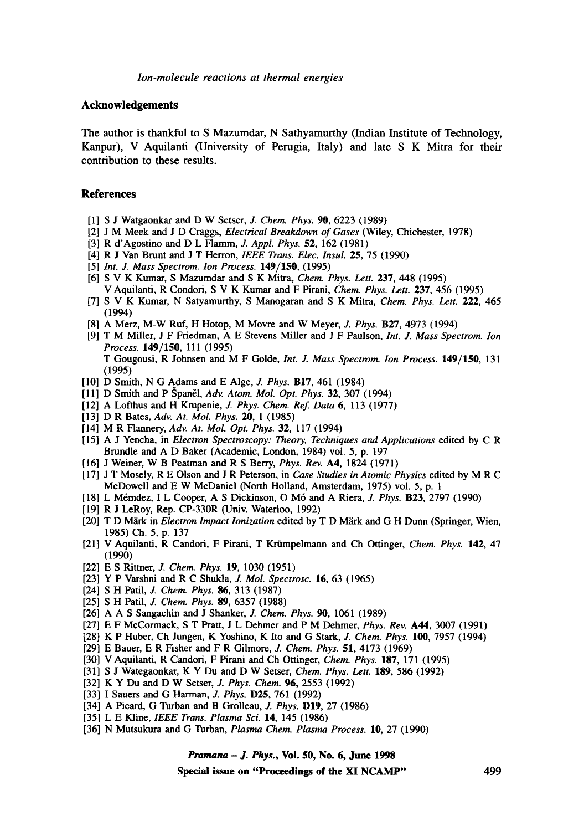#### **Acknowledgements**

The author is thankful to S Mazumdar, N Sathyamurthy (Indian Institute of Technology, Kanpur), V Aquilanti (University of Perugia, Italy) and late S K Mitra for their contribution to these results.

#### **References**

- [1] S J Watgaonkar and D W Setser, J. *Chem. Phys. 90,* 6223 (1989)
- [2] J M Meek and J D Craggs, *Electrical Breakdown of Gases* (Wiley, Chichester, 1978)
- [3] R d'Agostino and D L Flamm, J. *Appl. Phys.* 52, 162 (1981)
- [4] R J Van Brunt and J T Herron, *IEEE Trans. Elec. Insul.* 25, 75 (1990)
- [5] *Int. J. Mass Spectrom. Ion Process.* 149/150, (1995)
- [6] S V K Kumar, S Mazumdar and S K Mitra, *Chem. Phys. Lett.* 237, 448 (1995) V Aquilanti, R Condori, S V K Kumar and F Pirani, *Chem. Phys. Lett.* 237, 456 (1995)
- [7] S V K Kumar, N Satyamurthy, S Manogaran and S K Mitra, *Chem. Phys. Lett.* 222, 465 (1994)
- [8] A Merz, M-W Ruf, H Hotop, M Movre and W Meyer, J. *Phys.* B27, 4973 (1994)
- [9] T M Miller, J F Friedman, A E Stevens Miller and J F Paulson, *Int. J. Mass Spectrom. Ion Process.* 149/150, 111 (1995) T Gougousi, R Johnsen and M F Golde, *Int. J. Mass Spectrom. Ion Process.* 149/150, 131 (1995)
- [10] D Smith, N G Adams and E Alge, *J. Phys.* B17, 461 (1984)
- [11] D Smith and P Spanel, *Adv. Atom. Mol. Opt. Phys.* **32**, 307 (1994)
- [12] A Lofthus and H Krupenie, *J. Phys. Chem. Ref Data* 6, 113 (1977)
- [13] D R Bates, *Adv. At. Mol. Phys.* 20, I (1985)
- [14] M R Flannery, *Adv. At. Mol. Opt. Phys.* 32, 117 (1994)
- [15] A J Yencha, in *Electron Spectroscopy: Theory, Techniques and Applications* edited by C R Brundle and A D Baker (Academic, London, 1984) voi. 5, p. 197
- [16] J Weiner, W B Peatman and R S Berry, *Phys. Rev.* A4, 1824 (1971)
- [17] J T Mosely, R E Olson and J R Peterson, in *Case Studies in Atomic Physics* edited by M R C McDowell and E W McDaniel (North Holland, Amsterdam, 1975) vol. 5, p. 1
- [18] L M6mdez, I L Cooper, A S Dickinson, O M6 and A Riera, *J. Phys.* B23, 2797 (1990)
- [19] R J LeRoy, Rep. CP-330R (Univ. Waterloo, 1992)
- [20] T D Märk in *Electron Impact Ionization* edited by T D Märk and G H Dunn (Springer, Wien, 1985) Ch. 5, p. 137
- [21] V Aquilanti, R Candori, F Pirani, T Kriimpelmann and Ch Ottinger, *Chem. Phys.* 142, 47 (1990)
- [22] E S Rittner, *J. Chem. Phys.* 19, 1030 (1951)
- [23] Y P Varshni and R C Shukla, *J. Mol. Spectrosc.* 16, 63 (1965)
- [24] S H Patil, J. *Chem. Phys.* 86, 313 (1987)
- [25] S H Patil, J. *Chem. Phys.* **89,** 6357 (1988)
- [26] A A S Sangachin and J Shanker, *J. Chem. Phys. 90,* 1061 (1989)
- [27] E F McCormack, S T Pratt, J L Dehmer and P M Dehmer, *Phys. Rev.* A44, 3007 (1991)
- [28] K P Huber, Ch Jungen, K Yoshino, K Ito and G Stark, *J. Chem. Phys.* 100, 7957 (1994)
- [29] E Bauer, E R Fisher and F R Gilmore, *J. Chem. Phys.* 51, 4173 (1969)
- [30] V Aquilanti, R Candori, F Pirani and Ch Ottinger, *Chem. Phys.* 187, 171 (1995)
- [31] S J Wategaonkar, K Y Du and D W Setser, *Chem. Phys. Lett.* 189, 586 (1992)
- [32] K Y Du and D W Setser, *J. Phys. Chem.* 96, 2553 (1992)
- [33] I Sauers and G Harman, J. *Phys.* D25, 761 (1992)
- [34] A Picard, G Turban and B Grolleau, *J. Phys.* D19, 27 (1986)
- [35] L E Kline, *IEEE Trans. Plasma Sci.* **14**, 145 (1986)
- [36] N Mutsukura and G Turban, *Plasma Chem. Plasma Process.* 10, 27 (1990)

*Pmmana - J. Phys.,* **Vol. 50, No. 6, June 1998** 

**Special issue on "Proceedings of the XI NCAMP"** 499